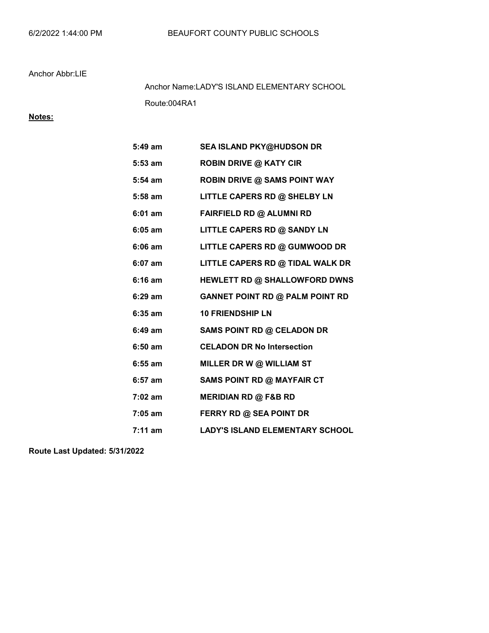### Anchor Abbr:LIE

Route:004RA1 Anchor Name:LADY'S ISLAND ELEMENTARY SCHOOL

## Notes:

| $5:49$ am | <b>SEA ISLAND PKY@HUDSON DR</b>        |
|-----------|----------------------------------------|
| $5:53$ am | <b>ROBIN DRIVE @ KATY CIR</b>          |
| $5:54$ am | <b>ROBIN DRIVE @ SAMS POINT WAY</b>    |
| 5:58 am   | LITTLE CAPERS RD @ SHELBY LN           |
| $6:01$ am | FAIRFIELD RD @ ALUMNI RD               |
| $6:05$ am | LITTLE CAPERS RD @ SANDY LN            |
| $6:06$ am | LITTLE CAPERS RD @ GUMWOOD DR          |
| $6:07$ am | LITTLE CAPERS RD @ TIDAL WALK DR       |
| $6:16$ am | HEWLETT RD @ SHALLOWFORD DWNS          |
| $6:29$ am | <b>GANNET POINT RD @ PALM POINT RD</b> |
| $6:35$ am | <b>10 FRIENDSHIP LN</b>                |
| 6:49 am   | SAMS POINT RD @ CELADON DR             |
| $6:50$ am | <b>CELADON DR No Intersection</b>      |
| $6:55$ am | MILLER DR W @ WILLIAM ST               |
| $6:57$ am | <b>SAMS POINT RD @ MAYFAIR CT</b>      |
| $7:02$ am | <b>MERIDIAN RD @ F&amp;B RD</b>        |
| $7:05$ am | <b>FERRY RD @ SEA POINT DR</b>         |
| $7:11$ am | LADY'S ISLAND ELEMENTARY SCHOOL        |

Route Last Updated: 5/31/2022